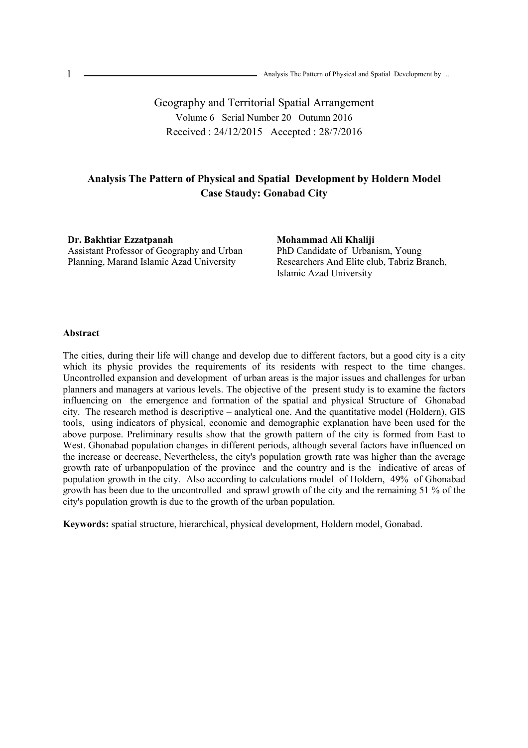Geography and Territorial Spatial Arrangement Volume 6 Serial Number 20 Outumn 2016 Received : 24/12/2015 Accepted : 28/7/2016

# **Analysis The Pattern of Physical and Spatial Development by Holdern Model Case Staudy: Gonabad City**

**Dr. Bakhtiar Ezzatpanah**  Assistant Professor of Geography and Urban Planning, Marand Islamic Azad University

**Mohammad Ali Khaliji**  PhD Candidate of Urbanism, Young Researchers And Elite club, Tabriz Branch, Islamic Azad University

#### **Abstract**

The cities, during their life will change and develop due to different factors, but a good city is a city which its physic provides the requirements of its residents with respect to the time changes. Uncontrolled expansion and development of urban areas is the major issues and challenges for urban planners and managers at various levels. The objective of the present study is to examine the factors influencing on the emergence and formation of the spatial and physical Structure of Ghonabad city. The research method is descriptive – analytical one. And the quantitative model (Holdern), GIS tools, using indicators of physical, economic and demographic explanation have been used for the above purpose. Preliminary results show that the growth pattern of the city is formed from East to West. Ghonabad population changes in different periods, although several factors have influenced on the increase or decrease, Nevertheless, the city's population growth rate was higher than the average growth rate of urbanpopulation of the province and the country and is the indicative of areas of population growth in the city. Also according to calculations model of Holdern, 49% of Ghonabad growth has been due to the uncontrolled and sprawl growth of the city and the remaining 51 % of the city's population growth is due to the growth of the urban population.

**Keywords:** spatial structure, hierarchical, physical development, Holdern model, Gonabad.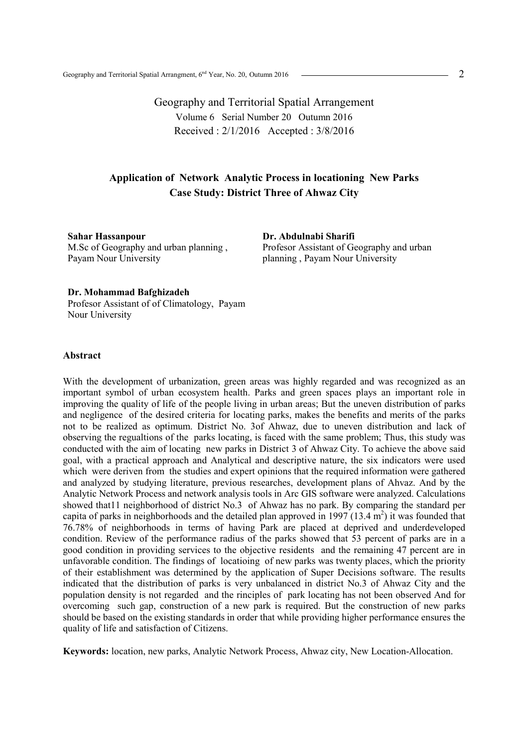Geography and Territorial Spatial Arrangement Volume 6 Serial Number 20 Outumn 2016 Received : 2/1/2016 Accepted : 3/8/2016

# **Application of Network Analytic Process in locationing New Parks Case Study: District Three of Ahwaz City**

**Sahar Hassanpour**  M.Sc of Geography and urban planning , Payam Nour University

**Dr. Abdulnabi Sharifi**  Profesor Assistant of Geography and urban planning , Payam Nour University

### **Dr. Mohammad Bafghizadeh**

Profesor Assistant of of Climatology, Payam Nour University

### **Abstract**

With the development of urbanization, green areas was highly regarded and was recognized as an important symbol of urban ecosystem health. Parks and green spaces plays an important role in improving the quality of life of the people living in urban areas; But the uneven distribution of parks and negligence of the desired criteria for locating parks, makes the benefits and merits of the parks not to be realized as optimum. District No. 3of Ahwaz, due to uneven distribution and lack of observing the regualtions of the parks locating, is faced with the same problem; Thus, this study was conducted with the aim of locating new parks in District 3 of Ahwaz City. To achieve the above said goal, with a practical approach and Analytical and descriptive nature, the six indicators were used which were deriven from the studies and expert opinions that the required information were gathered and analyzed by studying literature, previous researches, development plans of Ahvaz. And by the Analytic Network Process and network analysis tools in Arc GIS software were analyzed. Calculations showed that11 neighborhood of district No.3 of Ahwaz has no park. By comparing the standard per capita of parks in neighborhoods and the detailed plan approved in 1997 (13.4  $m<sup>2</sup>$ ) it was founded that 76.78% of neighborhoods in terms of having Park are placed at deprived and underdeveloped condition. Review of the performance radius of the parks showed that 53 percent of parks are in a good condition in providing services to the objective residents and the remaining 47 percent are in unfavorable condition. The findings of locatioing of new parks was twenty places, which the priority of their establishment was determined by the application of Super Decisions software. The results indicated that the distribution of parks is very unbalanced in district No.3 of Ahwaz City and the population density is not regarded and the rinciples of park locating has not been observed And for overcoming such gap, construction of a new park is required. But the construction of new parks should be based on the existing standards in order that while providing higher performance ensures the quality of life and satisfaction of Citizens.

**Keywords:** location, new parks, Analytic Network Process, Ahwaz city, New Location-Allocation.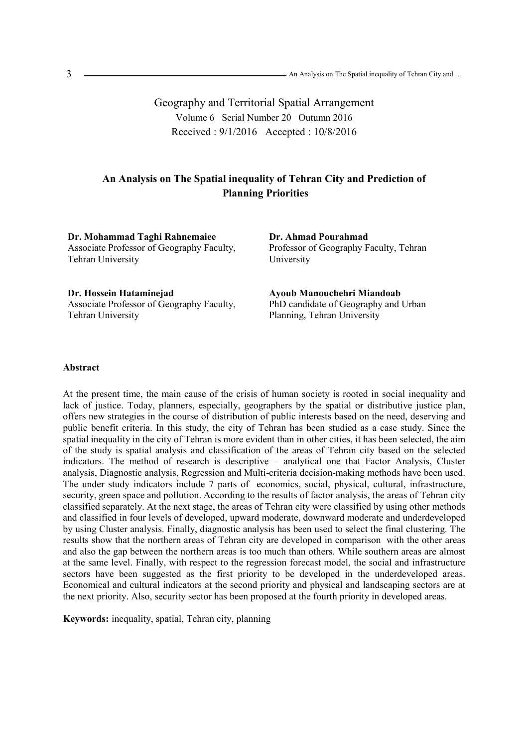Geography and Territorial Spatial Arrangement Volume 6 Serial Number 20 Outumn 2016 Received : 9/1/2016 Accepted : 10/8/2016

# **An Analysis on The Spatial inequality of Tehran City and Prediction of Planning Priorities**

**Dr. Mohammad Taghi Rahnemaiee**  Associate Professor of Geography Faculty, Tehran University

**Dr. Ahmad Pourahmad**  Professor of Geography Faculty, Tehran University

**Dr. Hossein Hataminejad**  Associate Professor of Geography Faculty, Tehran University

**Ayoub Manouchehri Miandoab**  PhD candidate of Geography and Urban Planning, Tehran University

### **Abstract**

At the present time, the main cause of the crisis of human society is rooted in social inequality and lack of justice. Today, planners, especially, geographers by the spatial or distributive justice plan, offers new strategies in the course of distribution of public interests based on the need, deserving and public benefit criteria. In this study, the city of Tehran has been studied as a case study. Since the spatial inequality in the city of Tehran is more evident than in other cities, it has been selected, the aim of the study is spatial analysis and classification of the areas of Tehran city based on the selected indicators. The method of research is descriptive – analytical one that Factor Analysis, Cluster analysis, Diagnostic analysis, Regression and Multi-criteria decision-making methods have been used. The under study indicators include 7 parts of economics, social, physical, cultural, infrastructure, security, green space and pollution. According to the results of factor analysis, the areas of Tehran city classified separately. At the next stage, the areas of Tehran city were classified by using other methods and classified in four levels of developed, upward moderate, downward moderate and underdeveloped by using Cluster analysis. Finally, diagnostic analysis has been used to select the final clustering. The results show that the northern areas of Tehran city are developed in comparison with the other areas and also the gap between the northern areas is too much than others. While southern areas are almost at the same level. Finally, with respect to the regression forecast model, the social and infrastructure sectors have been suggested as the first priority to be developed in the underdeveloped areas. Economical and cultural indicators at the second priority and physical and landscaping sectors are at the next priority. Also, security sector has been proposed at the fourth priority in developed areas.

**Keywords:** inequality, spatial, Tehran city, planning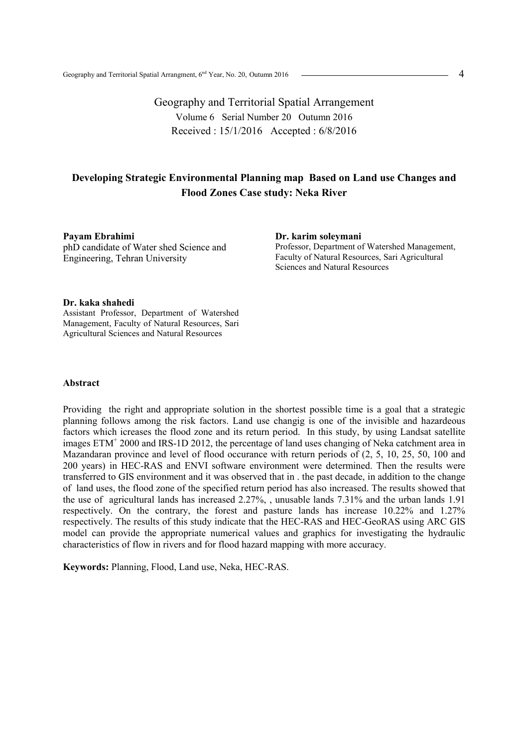Geography and Territorial Spatial Arrangement Volume 6 Serial Number 20 Outumn 2016 Received : 15/1/2016 Accepted : 6/8/2016

# **Developing Strategic Environmental Planning map Based on Land use Changes and Flood Zones Case study: Neka River**

**Payam Ebrahimi** phD candidate of Water shed Science and Engineering, Tehran University

**Dr. karim soleymani**  Professor, Department of Watershed Management, Faculty of Natural Resources, Sari Agricultural Sciences and Natural Resources

### **Dr. kaka shahedi**

Assistant Professor, Department of Watershed Management, Faculty of Natural Resources, Sari Agricultural Sciences and Natural Resources

## **Abstract**

Providing the right and appropriate solution in the shortest possible time is a goal that a strategic planning follows among the risk factors. Land use changig is one of the invisible and hazardeous factors which icreases the flood zone and its return period. In this study, by using Landsat satellite images  $ETM^+$  2000 and IRS-1D 2012, the percentage of land uses changing of Neka catchment area in Mazandaran province and level of flood occurance with return periods of (2, 5, 10, 25, 50, 100 and 200 years) in HEC-RAS and ENVI software environment were determined. Then the results were transferred to GIS environment and it was observed that in . the past decade, in addition to the change of land uses, the flood zone of the specified return period has also increased. The results showed that the use of agricultural lands has increased 2.27%, , unusable lands 7.31% and the urban lands 1.91 respectively. On the contrary, the forest and pasture lands has increase 10.22% and 1.27% respectively. The results of this study indicate that the HEC-RAS and HEC-GeoRAS using ARC GIS model can provide the appropriate numerical values and graphics for investigating the hydraulic characteristics of flow in rivers and for flood hazard mapping with more accuracy.

**Keywords:** Planning, Flood, Land use, Neka, HEC-RAS.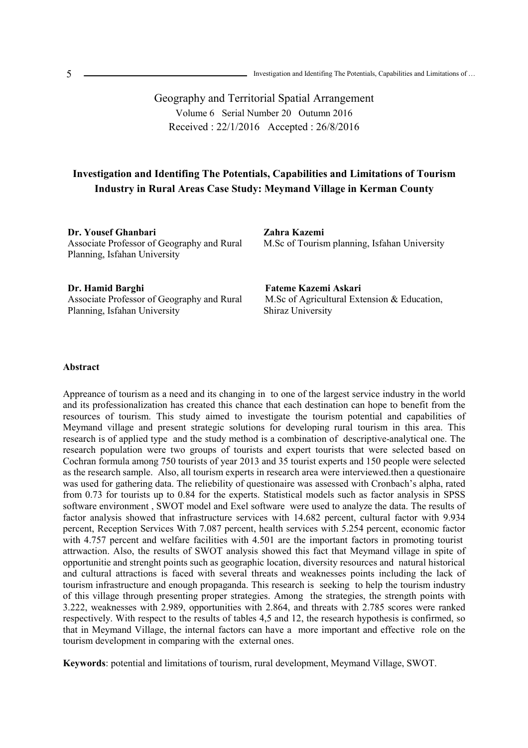Geography and Territorial Spatial Arrangement Volume 6 Serial Number 20 Outumn 2016 Received : 22/1/2016 Accepted : 26/8/2016

# **Investigation and Identifing The Potentials, Capabilities and Limitations of Tourism Industry in Rural Areas Case Study: Meymand Village in Kerman County**

**Dr. Yousef Ghanbari**  Associate Professor of Geography and Rural Planning, Isfahan University

**Zahra Kazemi**  M.Sc of Tourism planning, Isfahan University

**Dr. Hamid Barghi**  Associate Professor of Geography and Rural Planning, Isfahan University

**Fateme Kazemi Askari**  M.Sc of Agricultural Extension & Education, Shiraz University

### **Abstract**

Appreance of tourism as a need and its changing in to one of the largest service industry in the world and its professionalization has created this chance that each destination can hope to benefit from the resources of tourism. This study aimed to investigate the tourism potential and capabilities of Meymand village and present strategic solutions for developing rural tourism in this area. This research is of applied type and the study method is a combination of descriptive-analytical one. The research population were two groups of tourists and expert tourists that were selected based on Cochran formula among 750 tourists of year 2013 and 35 tourist experts and 150 people were selected as the research sample. Also, all tourism experts in research area were interviewed.then a questionaire was used for gathering data. The reliebility of questionaire was assessed with Cronbach's alpha, rated from 0.73 for tourists up to 0.84 for the experts. Statistical models such as factor analysis in SPSS software environment , SWOT model and Exel software were used to analyze the data. The results of factor analysis showed that infrastructure services with 14.682 percent, cultural factor with 9.934 percent, Reception Services With 7.087 percent, health services with 5.254 percent, economic factor with 4.757 percent and welfare facilities with 4.501 are the important factors in promoting tourist attrwaction. Also, the results of SWOT analysis showed this fact that Meymand village in spite of opportunitie and strenght points such as geographic location, diversity resources and natural historical and cultural attractions is faced with several threats and weaknesses points including the lack of tourism infrastructure and enough propaganda. This research is seeking to help the tourism industry of this village through presenting proper strategies. Among the strategies, the strength points with 3.222, weaknesses with 2.989, opportunities with 2.864, and threats with 2.785 scores were ranked respectively. With respect to the results of tables 4,5 and 12, the research hypothesis is confirmed, so that in Meymand Village, the internal factors can have a more important and effective role on the tourism development in comparing with the external ones.

**Keywords**: potential and limitations of tourism, rural development, Meymand Village, SWOT.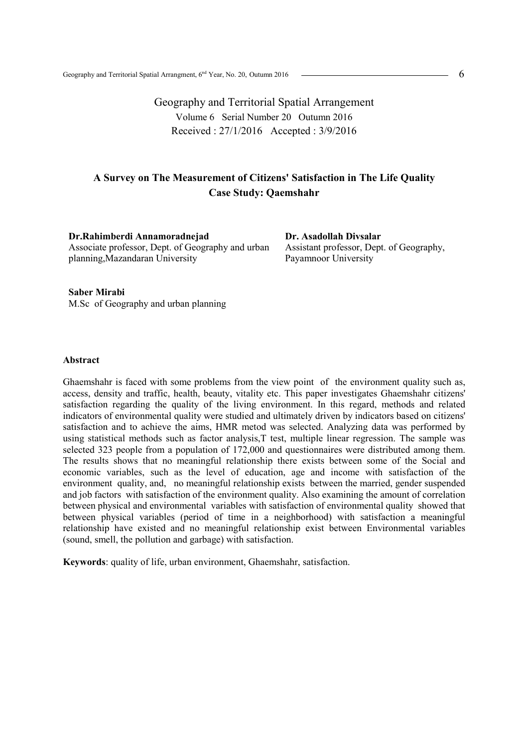Geography and Territorial Spatial Arrangement Volume 6 Serial Number 20 Outumn 2016 Received : 27/1/2016 Accepted : 3/9/2016

# **A Survey on The Measurement of Citizens' Satisfaction in The Life Quality Case Study: Qaemshahr**

**Dr.Rahimberdi Annamoradnejad**  Associate professor, Dept. of Geography and urban planning,Mazandaran University

**Dr. Asadollah Divsalar**  Assistant professor, Dept. of Geography, Payamnoor University

**Saber Mirabi**  M.Sc of Geography and urban planning

### **Abstract**

Ghaemshahr is faced with some problems from the view point of the environment quality such as, access, density and traffic, health, beauty, vitality etc. This paper investigates Ghaemshahr citizens' satisfaction regarding the quality of the living environment. In this regard, methods and related indicators of environmental quality were studied and ultimately driven by indicators based on citizens' satisfaction and to achieve the aims, HMR metod was selected. Analyzing data was performed by using statistical methods such as factor analysis,T test, multiple linear regression. The sample was selected 323 people from a population of 172,000 and questionnaires were distributed among them. The results shows that no meaningful relationship there exists between some of the Social and economic variables, such as the level of education, age and income with satisfaction of the environment quality, and, no meaningful relationship exists between the married, gender suspended and job factors with satisfaction of the environment quality. Also examining the amount of correlation between physical and environmental variables with satisfaction of environmental quality showed that between physical variables (period of time in a neighborhood) with satisfaction a meaningful relationship have existed and no meaningful relationship exist between Environmental variables (sound, smell, the pollution and garbage) with satisfaction.

**Keywords**: quality of life, urban environment, Ghaemshahr, satisfaction.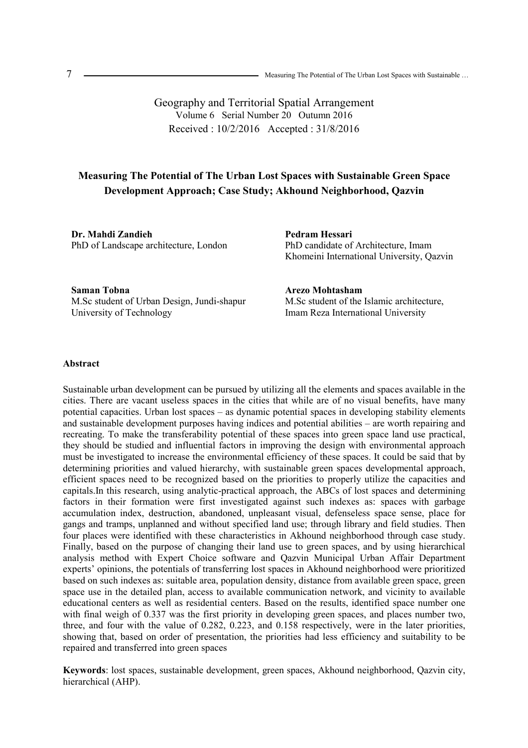Geography and Territorial Spatial Arrangement Volume 6 Serial Number 20 Outumn 2016 Received : 10/2/2016 Accepted : 31/8/2016

# **Measuring The Potential of The Urban Lost Spaces with Sustainable Green Space Development Approach; Case Study; Akhound Neighborhood, Qazvin**

**Dr. Mahdi Zandieh**  PhD of Landscape architecture, London **Pedram Hessari**  PhD candidate of Architecture, Imam Khomeini International University, Qazvin

**Saman Tobna** M.Sc student of Urban Design, Jundi-shapur University of Technology

**Arezo Mohtasham**  M.Sc student of the Islamic architecture, Imam Reza International University

### **Abstract**

Sustainable urban development can be pursued by utilizing all the elements and spaces available in the cities. There are vacant useless spaces in the cities that while are of no visual benefits, have many potential capacities. Urban lost spaces – as dynamic potential spaces in developing stability elements and sustainable development purposes having indices and potential abilities – are worth repairing and recreating. To make the transferability potential of these spaces into green space land use practical, they should be studied and influential factors in improving the design with environmental approach must be investigated to increase the environmental efficiency of these spaces. It could be said that by determining priorities and valued hierarchy, with sustainable green spaces developmental approach, efficient spaces need to be recognized based on the priorities to properly utilize the capacities and capitals.In this research, using analytic-practical approach, the ABCs of lost spaces and determining factors in their formation were first investigated against such indexes as: spaces with garbage accumulation index, destruction, abandoned, unpleasant visual, defenseless space sense, place for gangs and tramps, unplanned and without specified land use; through library and field studies. Then four places were identified with these characteristics in Akhound neighborhood through case study. Finally, based on the purpose of changing their land use to green spaces, and by using hierarchical analysis method with Expert Choice software and Qazvin Municipal Urban Affair Department experts' opinions, the potentials of transferring lost spaces in Akhound neighborhood were prioritized based on such indexes as: suitable area, population density, distance from available green space, green space use in the detailed plan, access to available communication network, and vicinity to available educational centers as well as residential centers. Based on the results, identified space number one with final weigh of 0.337 was the first priority in developing green spaces, and places number two, three, and four with the value of 0.282, 0.223, and 0.158 respectively, were in the later priorities, showing that, based on order of presentation, the priorities had less efficiency and suitability to be repaired and transferred into green spaces

**Keywords**: lost spaces, sustainable development, green spaces, Akhound neighborhood, Qazvin city, hierarchical (AHP).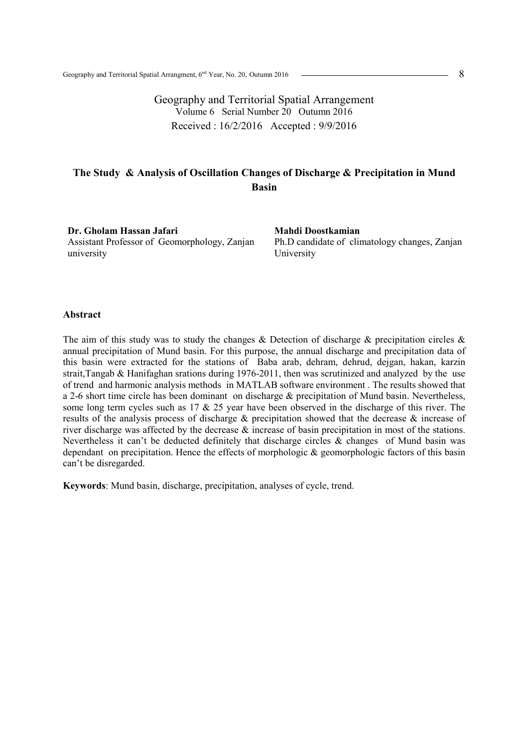Geography and Territorial Spatial Arrangement Volume 6 Serial Number 20 Outumn 2016 Received : 16/2/2016 Accepted : 9/9/2016

# **The Study & Analysis of Oscillation Changes of Discharge & Precipitation in Mund Basin**

**Dr. Gholam Hassan Jafari**  Assistant Professor of Geomorphology, Zanjan university

**Mahdi Doostkamian**  Ph.D candidate of climatology changes, Zanjan University

### **Abstract**

The aim of this study was to study the changes  $\&$  Detection of discharge  $\&$  precipitation circles  $\&$ annual precipitation of Mund basin. For this purpose, the annual discharge and precipitation data of this basin were extracted for the stations of Baba arab, dehram, dehrud, dejgan, hakan, karzin strait,Tangab & Hanifaghan srations during 1976-2011, then was scrutinized and analyzed by the use of trend and harmonic analysis methods in MATLAB software environment . The results showed that a 2-6 short time circle has been dominant on discharge & precipitation of Mund basin. Nevertheless, some long term cycles such as 17 & 25 year have been observed in the discharge of this river. The results of the analysis process of discharge & precipitation showed that the decrease & increase of river discharge was affected by the decrease & increase of basin precipitation in most of the stations. Nevertheless it can't be deducted definitely that discharge circles & changes of Mund basin was dependant on precipitation. Hence the effects of morphologic & geomorphologic factors of this basin can't be disregarded.

**Keywords**: Mund basin, discharge, precipitation, analyses of cycle, trend.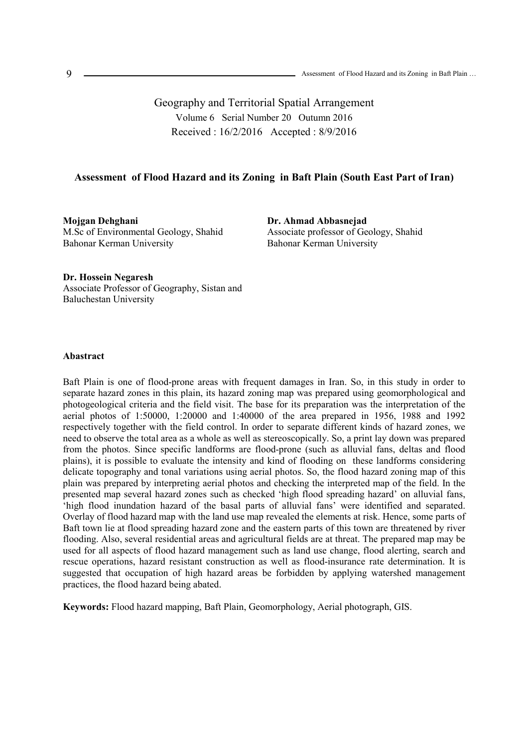Geography and Territorial Spatial Arrangement Volume 6 Serial Number 20 Outumn 2016 Received : 16/2/2016 Accepted : 8/9/2016

### **Assessment of Flood Hazard and its Zoning in Baft Plain (South East Part of Iran)**

**Mojgan Dehghani**  M.Sc of Environmental Geology, Shahid Bahonar Kerman University

**Dr. Ahmad Abbasnejad**  Associate professor of Geology, Shahid Bahonar Kerman University

### **Dr. Hossein Negaresh**

Associate Professor of Geography, Sistan and Baluchestan University

### **Abastract**

Baft Plain is one of flood-prone areas with frequent damages in Iran. So, in this study in order to separate hazard zones in this plain, its hazard zoning map was prepared using geomorphological and photogeological criteria and the field visit. The base for its preparation was the interpretation of the aerial photos of 1:50000, 1:20000 and 1:40000 of the area prepared in 1956, 1988 and 1992 respectively together with the field control. In order to separate different kinds of hazard zones, we need to observe the total area as a whole as well as stereoscopically. So, a print lay down was prepared from the photos. Since specific landforms are flood-prone (such as alluvial fans, deltas and flood plains), it is possible to evaluate the intensity and kind of flooding on these landforms considering delicate topography and tonal variations using aerial photos. So, the flood hazard zoning map of this plain was prepared by interpreting aerial photos and checking the interpreted map of the field. In the presented map several hazard zones such as checked 'high flood spreading hazard' on alluvial fans, 'high flood inundation hazard of the basal parts of alluvial fans' were identified and separated. Overlay of flood hazard map with the land use map revealed the elements at risk. Hence, some parts of Baft town lie at flood spreading hazard zone and the eastern parts of this town are threatened by river flooding. Also, several residential areas and agricultural fields are at threat. The prepared map may be used for all aspects of flood hazard management such as land use change, flood alerting, search and rescue operations, hazard resistant construction as well as flood-insurance rate determination. It is suggested that occupation of high hazard areas be forbidden by applying watershed management practices, the flood hazard being abated.

**Keywords:** Flood hazard mapping, Baft Plain, Geomorphology, Aerial photograph, GIS.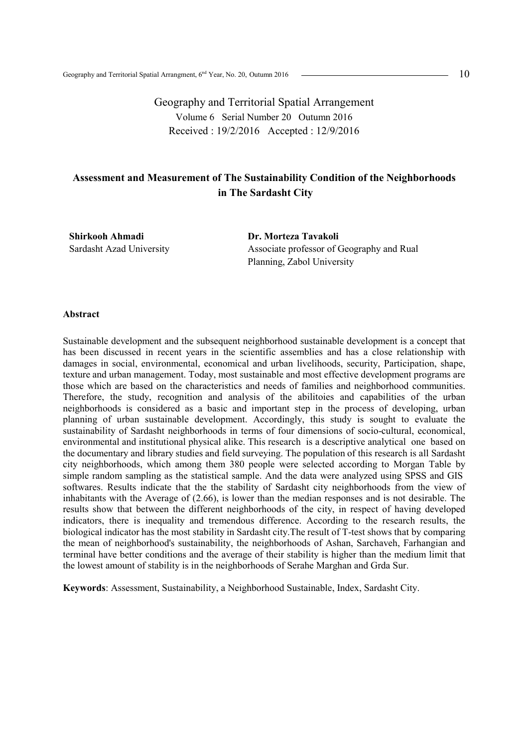Geography and Territorial Spatial Arrangement Volume 6 Serial Number 20 Outumn 2016 Received : 19/2/2016 Accepted : 12/9/2016

# **Assessment and Measurement of The Sustainability Condition of the Neighborhoods in The Sardasht City**

**Shirkooh Ahmadi**  Sardasht Azad University **Dr. Morteza Tavakoli**  Associate professor of Geography and Rual Planning, Zabol University

#### **Abstract**

Sustainable development and the subsequent neighborhood sustainable development is a concept that has been discussed in recent years in the scientific assemblies and has a close relationship with damages in social, environmental, economical and urban livelihoods, security, Participation, shape, texture and urban management. Today, most sustainable and most effective development programs are those which are based on the characteristics and needs of families and neighborhood communities. Therefore, the study, recognition and analysis of the abilitoies and capabilities of the urban neighborhoods is considered as a basic and important step in the process of developing, urban planning of urban sustainable development. Accordingly, this study is sought to evaluate the sustainability of Sardasht neighborhoods in terms of four dimensions of socio-cultural, economical, environmental and institutional physical alike. This research is a descriptive analytical one based on the documentary and library studies and field surveying. The population of this research is all Sardasht city neighborhoods, which among them 380 people were selected according to Morgan Table by simple random sampling as the statistical sample. And the data were analyzed using SPSS and GIS softwares. Results indicate that the the stability of Sardasht city neighborhoods from the view of inhabitants with the Average of (2.66), is lower than the median responses and is not desirable. The results show that between the different neighborhoods of the city, in respect of having developed indicators, there is inequality and tremendous difference. According to the research results, the biological indicator has the most stability in Sardasht city.The result of T-test shows that by comparing the mean of neighborhood's sustainability, the neighborhoods of Ashan, Sarchaveh, Farhangian and terminal have better conditions and the average of their stability is higher than the medium limit that the lowest amount of stability is in the neighborhoods of Serahe Marghan and Grda Sur.

**Keywords**: Assessment, Sustainability, a Neighborhood Sustainable, Index, Sardasht City.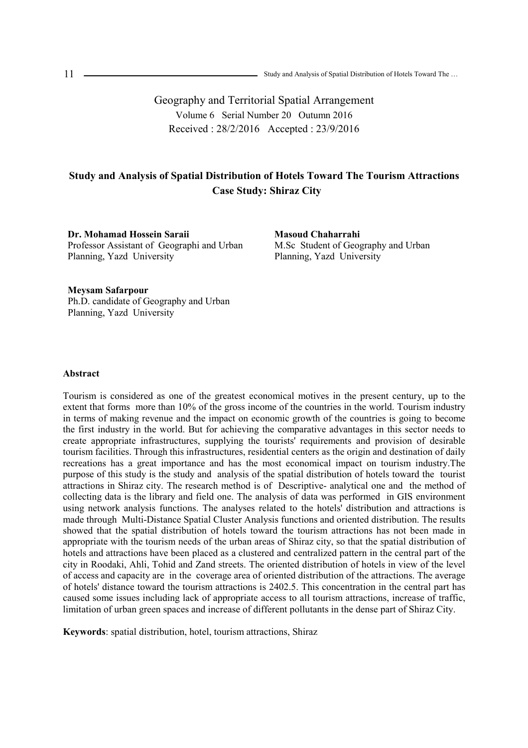Geography and Territorial Spatial Arrangement Volume 6 Serial Number 20 Outumn 2016 Received : 28/2/2016 Accepted : 23/9/2016

# **Study and Analysis of Spatial Distribution of Hotels Toward The Tourism Attractions Case Study: Shiraz City**

**Dr. Mohamad Hossein Saraii**  Professor Assistant of Geographi and Urban Planning, Yazd University

**Masoud Chaharrahi**  M.Sc Student of Geography and Urban Planning, Yazd University

**Meysam Safarpour**  Ph.D. candidate of Geography and Urban Planning, Yazd University

### **Abstract**

Tourism is considered as one of the greatest economical motives in the present century, up to the extent that forms more than 10% of the gross income of the countries in the world. Tourism industry in terms of making revenue and the impact on economic growth of the countries is going to become the first industry in the world. But for achieving the comparative advantages in this sector needs to create appropriate infrastructures, supplying the tourists' requirements and provision of desirable tourism facilities. Through this infrastructures, residential centers as the origin and destination of daily recreations has a great importance and has the most economical impact on tourism industry.The purpose of this study is the study and analysis of the spatial distribution of hotels toward the tourist attractions in Shiraz city. The research method is of Descriptive- analytical one and the method of collecting data is the library and field one. The analysis of data was performed in GIS environment using network analysis functions. The analyses related to the hotels' distribution and attractions is made through Multi-Distance Spatial Cluster Analysis functions and oriented distribution. The results showed that the spatial distribution of hotels toward the tourism attractions has not been made in appropriate with the tourism needs of the urban areas of Shiraz city, so that the spatial distribution of hotels and attractions have been placed as a clustered and centralized pattern in the central part of the city in Roodaki, Ahli, Tohid and Zand streets. The oriented distribution of hotels in view of the level of access and capacity are in the coverage area of oriented distribution of the attractions. The average of hotels' distance toward the tourism attractions is 2402.5. This concentration in the central part has caused some issues including lack of appropriate access to all tourism attractions, increase of traffic, limitation of urban green spaces and increase of different pollutants in the dense part of Shiraz City.

**Keywords**: spatial distribution, hotel, tourism attractions, Shiraz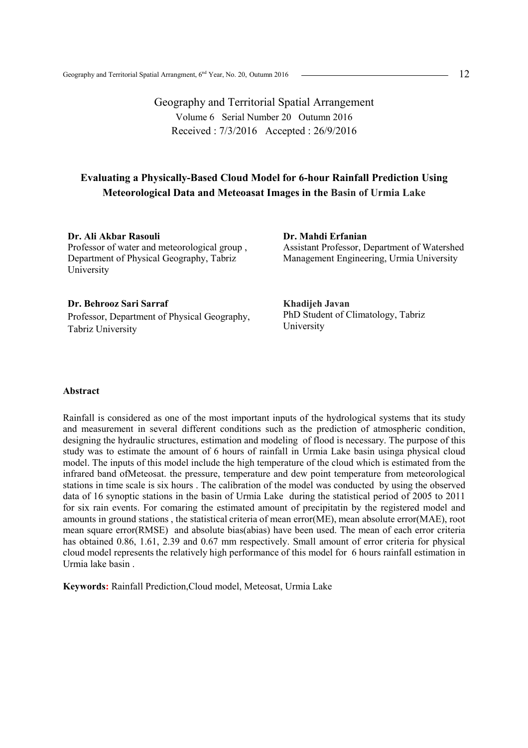Geography and Territorial Spatial Arrangement Volume 6 Serial Number 20 Outumn 2016 Received : 7/3/2016 Accepted : 26/9/2016

## **Evaluating a Physically-Based Cloud Model for 6-hour Rainfall Prediction Using Meteorological Data and Meteoasat Images in the Basin of Urmia Lake**

**Dr. Ali Akbar Rasouli**  Professor of water and meteorological group , Department of Physical Geography, Tabriz University

### **Dr. Behrooz Sari Sarraf**

Professor, Department of Physical Geography, Tabriz University

**Dr. Mahdi Erfanian**  Assistant Professor, Department of Watershed Management Engineering, Urmia University

**Khadijeh Javan**  PhD Student of Climatology, Tabriz University

### **Abstract**

Rainfall is considered as one of the most important inputs of the hydrological systems that its study and measurement in several different conditions such as the prediction of atmospheric condition, designing the hydraulic structures, estimation and modeling of flood is necessary. The purpose of this study was to estimate the amount of 6 hours of rainfall in Urmia Lake basin usinga physical cloud model. The inputs of this model include the high temperature of the cloud which is estimated from the infrared band ofMeteosat. the pressure, temperature and dew point temperature from meteorological stations in time scale is six hours . The calibration of the model was conducted by using the observed data of 16 synoptic stations in the basin of Urmia Lake during the statistical period of 2005 to 2011 for six rain events. For comaring the estimated amount of precipitatin by the registered model and amounts in ground stations , the statistical criteria of mean error(ME), mean absolute error(MAE), root mean square error(RMSE) and absolute bias(abias) have been used. The mean of each error criteria has obtained 0.86, 1.61, 2.39 and 0.67 mm respectively. Small amount of error criteria for physical cloud model represents the relatively high performance of this model for 6 hours rainfall estimation in Urmia lake basin .

**Keywords:** Rainfall Prediction,Cloud model, Meteosat, Urmia Lake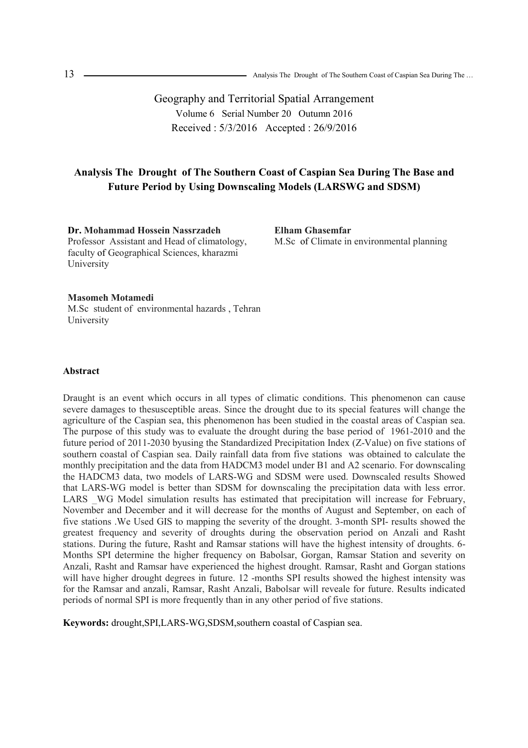Geography and Territorial Spatial Arrangement Volume 6 Serial Number 20 Outumn 2016 Received : 5/3/2016 Accepted : 26/9/2016

# **Analysis The Drought of The Southern Coast of Caspian Sea During The Base and Future Period by Using Downscaling Models (LARSWG and SDSM)**

**Dr. Mohammad Hossein Nassrzadeh**  Professor Assistant and Head of climatology, faculty of Geographical Sciences, kharazmi University

**Elham Ghasemfar**  M.Sc of Climate in environmental planning

## **Masomeh Motamedi**

M.Sc student of environmental hazards , Tehran University

#### **Abstract**

Draught is an event which occurs in all types of climatic conditions. This phenomenon can cause severe damages to thesusceptible areas. Since the drought due to its special features will change the agriculture of the Caspian sea, this phenomenon has been studied in the coastal areas of Caspian sea. The purpose of this study was to evaluate the drought during the base period of 1961-2010 and the future period of 2011-2030 byusing the Standardized Precipitation Index (Z-Value) on five stations of southern coastal of Caspian sea. Daily rainfall data from five stations was obtained to calculate the monthly precipitation and the data from HADCM3 model under B1 and A2 scenario. For downscaling the HADCM3 data, two models of LARS-WG and SDSM were used. Downscaled results Showed that LARS-WG model is better than SDSM for downscaling the precipitation data with less error. LARS WG Model simulation results has estimated that precipitation will increase for February, November and December and it will decrease for the months of August and September, on each of five stations .We Used GIS to mapping the severity of the drought. 3-month SPI- results showed the greatest frequency and severity of droughts during the observation period on Anzali and Rasht stations. During the future, Rasht and Ramsar stations will have the highest intensity of droughts. 6- Months SPI determine the higher frequency on Babolsar, Gorgan, Ramsar Station and severity on Anzali, Rasht and Ramsar have experienced the highest drought. Ramsar, Rasht and Gorgan stations will have higher drought degrees in future. 12 -months SPI results showed the highest intensity was for the Ramsar and anzali, Ramsar, Rasht Anzali, Babolsar will reveale for future. Results indicated periods of normal SPI is more frequently than in any other period of five stations.

**Keywords:** drought,SPI,LARS-WG,SDSM,southern coastal of Caspian sea.